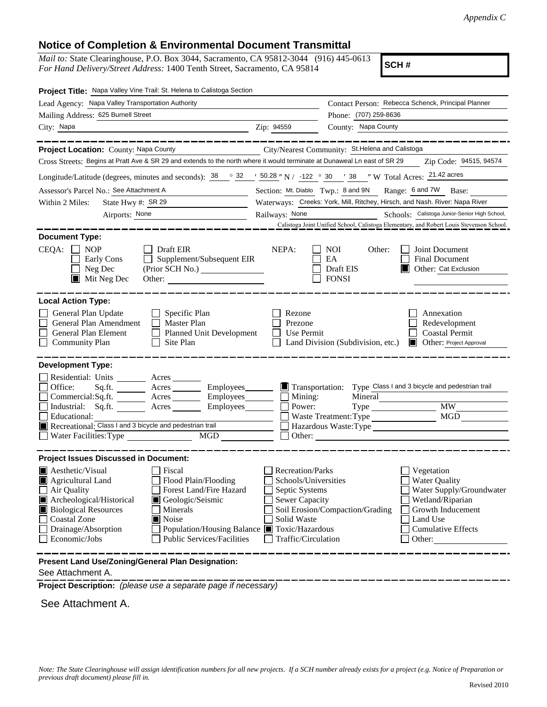# **Notice of Completion & Environmental Document Transmittal**

*Mail to:* State Clearinghouse, P.O. Box 3044, Sacramento, CA 95812-3044 (916) 445-0613 *For Hand Delivery/Street Address:* 1400 Tenth Street, Sacramento, CA 95814

**SCH #**

| Project Title: Napa Valley Vine Trail: St. Helena to Calistoga Section                                                                                                                                                                                                                                                                                                                  |                                                                                                                                                                                                                                                                                                                            |  |  |  |
|-----------------------------------------------------------------------------------------------------------------------------------------------------------------------------------------------------------------------------------------------------------------------------------------------------------------------------------------------------------------------------------------|----------------------------------------------------------------------------------------------------------------------------------------------------------------------------------------------------------------------------------------------------------------------------------------------------------------------------|--|--|--|
| Lead Agency: Napa Valley Transportation Authority                                                                                                                                                                                                                                                                                                                                       | Contact Person: Rebecca Schenck, Principal Planner                                                                                                                                                                                                                                                                         |  |  |  |
| Mailing Address: 625 Burnell Street                                                                                                                                                                                                                                                                                                                                                     | Phone: (707) 259-8636                                                                                                                                                                                                                                                                                                      |  |  |  |
| City: Napa                                                                                                                                                                                                                                                                                                                                                                              | County: Napa County<br>Zip: 94559                                                                                                                                                                                                                                                                                          |  |  |  |
|                                                                                                                                                                                                                                                                                                                                                                                         |                                                                                                                                                                                                                                                                                                                            |  |  |  |
| Project Location: County: Napa County                                                                                                                                                                                                                                                                                                                                                   | City/Nearest Community: St.Helena and Calistoga                                                                                                                                                                                                                                                                            |  |  |  |
| Cross Streets: Begins at Pratt Ave & SR 29 and extends to the north where it would terminate at Dunaweal Ln east of SR 29                                                                                                                                                                                                                                                               | Zip Code: 94515, 94574                                                                                                                                                                                                                                                                                                     |  |  |  |
| Longitude/Latitude (degrees, minutes and seconds): $\frac{38}{100}$ $\frac{32}{100}$ $\frac{1}{20}$ 50.28 $\degree$ N / -122 $\degree$ 30 $\degree$ 38 $\degree$ W Total Acres: $\frac{21.42 \text{ acres}}{21.42 \text{ acres}}$                                                                                                                                                       |                                                                                                                                                                                                                                                                                                                            |  |  |  |
| Assessor's Parcel No.: See Attachment A                                                                                                                                                                                                                                                                                                                                                 | Section: Mt. Diablo Twp.: 8 and 9N<br>Range: 6 and 7W Base:                                                                                                                                                                                                                                                                |  |  |  |
| Within 2 Miles:<br>State Hwy #: SR 29                                                                                                                                                                                                                                                                                                                                                   | Waterways: Creeks: York, Mill, Ritchey, Hirsch, and Nash. River: Napa River                                                                                                                                                                                                                                                |  |  |  |
| Airports: None<br><u> 1989 - John Stein, Amerikaansk politiker (</u>                                                                                                                                                                                                                                                                                                                    | Schools: Calistoga Junior-Senior High School,<br>Railways: None                                                                                                                                                                                                                                                            |  |  |  |
|                                                                                                                                                                                                                                                                                                                                                                                         | Calistoga Joint Unified School, Calistoga Elementary, and Robert Louis Stevenson School                                                                                                                                                                                                                                    |  |  |  |
| <b>Document Type:</b>                                                                                                                                                                                                                                                                                                                                                                   |                                                                                                                                                                                                                                                                                                                            |  |  |  |
| $CEQA: \Box NP$<br>Draft EIR<br>$\mathsf{L}$<br>Supplement/Subsequent EIR<br>Early Cons<br>Neg Dec<br>$\blacksquare$ Mit Neg Dec<br>Other:                                                                                                                                                                                                                                              | NEPA:<br>NOI.<br>Other:<br>Joint Document<br><b>Final Document</b><br>EA<br>Draft EIS<br>Other: Cat Exclusion<br><b>FONSI</b>                                                                                                                                                                                              |  |  |  |
| <b>Local Action Type:</b>                                                                                                                                                                                                                                                                                                                                                               |                                                                                                                                                                                                                                                                                                                            |  |  |  |
| General Plan Update<br>Specific Plan<br>General Plan Amendment<br>Master Plan<br>General Plan Element<br><b>Planned Unit Development</b><br><b>Community Plan</b><br>Site Plan                                                                                                                                                                                                          | Annexation<br>Rezone<br>Prezone<br>Redevelopment<br>Use Permit<br><b>Coastal Permit</b><br>Land Division (Subdivision, etc.)<br><b>Other: Project Approval</b>                                                                                                                                                             |  |  |  |
| <b>Development Type:</b>                                                                                                                                                                                                                                                                                                                                                                |                                                                                                                                                                                                                                                                                                                            |  |  |  |
| Residential: Units ________ Acres _____<br>Office:<br>Employees_______<br>Sq.fit.<br>Acres<br>Commercial:Sq.ft.<br>Acres<br>Employees________<br>Industrial: Sq.ft.<br>Acres<br>Employees_______<br>Educational:<br>Recreational: Class I and 3 bicycle and pedestrian trail<br>Water Facilities: Type<br><b>MGD</b>                                                                    | Transportation:<br>Type Class I and 3 bicycle and pedestrian trail<br>Mineral<br>Mining:<br><b>MW</b><br>Power:<br>Type<br><b>MGD</b><br>Waste Treatment: Type<br>Hazardous Waste: Type                                                                                                                                    |  |  |  |
| <b>Project Issues Discussed in Document:</b>                                                                                                                                                                                                                                                                                                                                            |                                                                                                                                                                                                                                                                                                                            |  |  |  |
| <b>Aesthetic/Visual</b><br>Fiscal<br>Flood Plain/Flooding<br>Agricultural Land<br>Forest Land/Fire Hazard<br>$\Box$ Air Quality<br>Archeological/Historical<br>Geologic/Seismic<br><b>Biological Resources</b><br>Minerals<br><b>Coastal Zone</b><br>Noise<br>Drainage/Absorption<br>Population/Housing Balance ■ Toxic/Hazardous<br>Economic/Jobs<br><b>Public Services/Facilities</b> | Recreation/Parks<br>Vegetation<br><b>Water Quality</b><br>Schools/Universities<br>Septic Systems<br>Water Supply/Groundwater<br><b>Sewer Capacity</b><br>Wetland/Riparian<br>Soil Erosion/Compaction/Grading<br>Growth Inducement<br>Solid Waste<br>Land Use<br><b>Cumulative Effects</b><br>Traffic/Circulation<br>Other: |  |  |  |
| Present Land Use/Zoning/General Plan Designation:                                                                                                                                                                                                                                                                                                                                       |                                                                                                                                                                                                                                                                                                                            |  |  |  |

See Attachment A.

**Project Description:** *(please use a separate page if necessary)*

See Attachment A.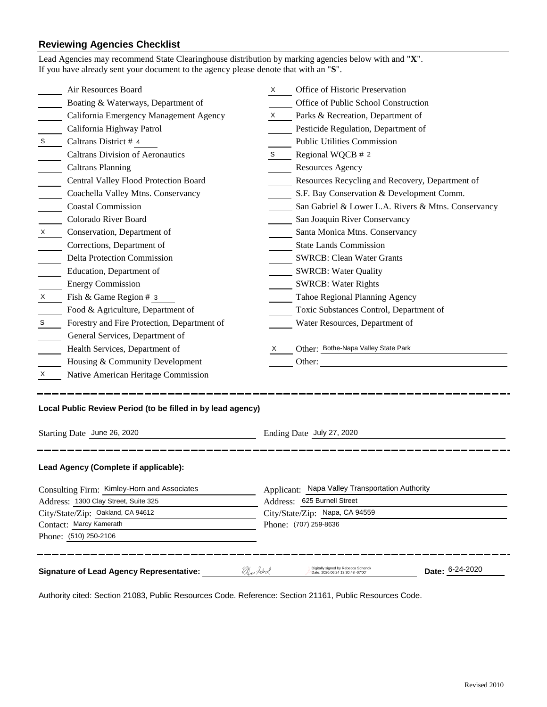# **Reviewing Agencies Checklist**

|                                             | Air Resources Board                                         | X. | Office of Historic Preservation                                                                  |  |  |
|---------------------------------------------|-------------------------------------------------------------|----|--------------------------------------------------------------------------------------------------|--|--|
|                                             | Boating & Waterways, Department of                          |    | Office of Public School Construction                                                             |  |  |
|                                             | California Emergency Management Agency                      | X  | Parks & Recreation, Department of                                                                |  |  |
|                                             | California Highway Patrol                                   |    | Pesticide Regulation, Department of                                                              |  |  |
| S                                           | Caltrans District # 4                                       |    | <b>Public Utilities Commission</b>                                                               |  |  |
|                                             | <b>Caltrans Division of Aeronautics</b>                     | S  | Regional WQCB # 2                                                                                |  |  |
|                                             | <b>Caltrans Planning</b>                                    |    | <b>Resources Agency</b>                                                                          |  |  |
|                                             | Central Valley Flood Protection Board                       |    | Resources Recycling and Recovery, Department of                                                  |  |  |
|                                             | Coachella Valley Mtns. Conservancy                          |    |                                                                                                  |  |  |
|                                             | <b>Coastal Commission</b>                                   |    | S.F. Bay Conservation & Development Comm.<br>San Gabriel & Lower L.A. Rivers & Mtns. Conservancy |  |  |
|                                             |                                                             |    |                                                                                                  |  |  |
|                                             | Colorado River Board                                        |    | San Joaquin River Conservancy                                                                    |  |  |
| X                                           | Conservation, Department of                                 |    | Santa Monica Mtns. Conservancy                                                                   |  |  |
|                                             | Corrections, Department of                                  |    | <b>State Lands Commission</b>                                                                    |  |  |
|                                             | <b>Delta Protection Commission</b>                          |    | <b>SWRCB: Clean Water Grants</b>                                                                 |  |  |
|                                             | Education, Department of                                    |    | <b>SWRCB: Water Quality</b>                                                                      |  |  |
|                                             | <b>Energy Commission</b>                                    |    | <b>SWRCB: Water Rights</b>                                                                       |  |  |
| X                                           | Fish & Game Region # 3                                      |    | Tahoe Regional Planning Agency                                                                   |  |  |
|                                             | Food & Agriculture, Department of                           |    | Toxic Substances Control, Department of                                                          |  |  |
| S                                           | Forestry and Fire Protection, Department of                 |    | Water Resources, Department of                                                                   |  |  |
|                                             | General Services, Department of                             |    |                                                                                                  |  |  |
|                                             | Health Services, Department of                              | X  | Other: Bothe-Napa Valley State Park                                                              |  |  |
|                                             | Housing & Community Development                             |    | Other:                                                                                           |  |  |
| X                                           | Native American Heritage Commission                         |    |                                                                                                  |  |  |
|                                             | Local Public Review Period (to be filled in by lead agency) |    |                                                                                                  |  |  |
| Starting Date June 26, 2020                 |                                                             |    | Ending Date July 27, 2020                                                                        |  |  |
|                                             | Lead Agency (Complete if applicable):                       |    |                                                                                                  |  |  |
| Consulting Firm: Kimley-Horn and Associates |                                                             |    | Applicant: Napa Valley Transportation Authority                                                  |  |  |
| Address: 1300 Clay Street, Suite 325        |                                                             |    | Address: 625 Burnell Street                                                                      |  |  |
| City/State/Zip: Oakland, CA 94612           |                                                             |    | City/State/Zip: Napa, CA 94559                                                                   |  |  |
| Contact: Marcy Kamerath                     |                                                             |    | Phone: (707) 259-8636                                                                            |  |  |
|                                             |                                                             |    |                                                                                                  |  |  |
|                                             | Phone: (510) 250-2106                                       |    |                                                                                                  |  |  |

Authority cited: Section 21083, Public Resources Code. Reference: Section 21161, Public Resources Code.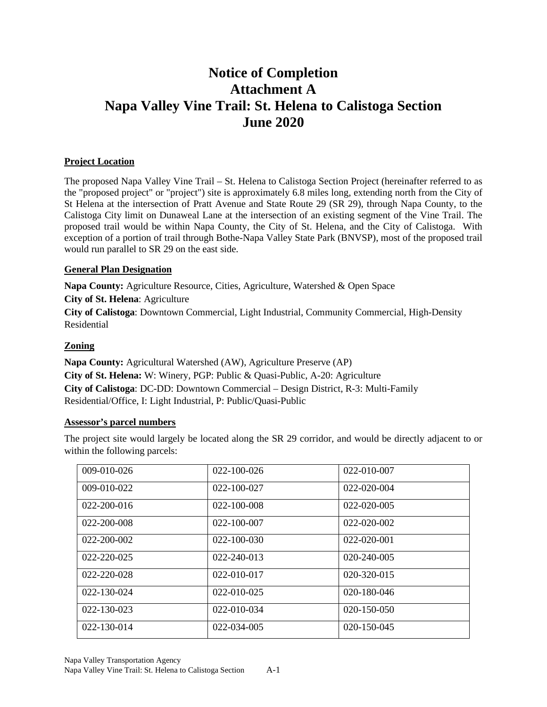# **Notice of Completion Attachment A Napa Valley Vine Trail: St. Helena to Calistoga Section June 2020**

#### **Project Location**

The proposed Napa Valley Vine Trail – St. Helena to Calistoga Section Project (hereinafter referred to as the "proposed project" or "project") site is approximately 6.8 miles long, extending north from the City of St Helena at the intersection of Pratt Avenue and State Route 29 (SR 29), through Napa County, to the Calistoga City limit on Dunaweal Lane at the intersection of an existing segment of the Vine Trail. The proposed trail would be within Napa County, the City of St. Helena, and the City of Calistoga. With exception of a portion of trail through Bothe-Napa Valley State Park (BNVSP), most of the proposed trail would run parallel to SR 29 on the east side.

#### **General Plan Designation**

**Napa County:** Agriculture Resource, Cities, Agriculture, Watershed & Open Space

**City of St. Helena**: Agriculture

**City of Calistoga**: Downtown Commercial, Light Industrial, Community Commercial, High-Density Residential

## **Zoning**

**Napa County:** Agricultural Watershed (AW), Agriculture Preserve (AP) **City of St. Helena:** W: Winery, PGP: Public & Quasi-Public, A-20: Agriculture **City of Calistoga**: DC-DD: Downtown Commercial – Design District, R-3: Multi-Family Residential/Office, I: Light Industrial, P: Public/Quasi-Public

#### **Assessor's parcel numbers**

The project site would largely be located along the SR 29 corridor, and would be directly adjacent to or within the following parcels:

| $009-010-026$     | $022 - 100 - 026$ | 022-010-007       |
|-------------------|-------------------|-------------------|
| $009-010-022$     | $022 - 100 - 027$ | $022 - 020 - 004$ |
| $022 - 200 - 016$ | 022-100-008       | 022-020-005       |
| $022 - 200 - 008$ | $022 - 100 - 007$ | 022-020-002       |
| 022-200-002       | $022 - 100 - 030$ | $022 - 020 - 001$ |
| 022-220-025       | 022-240-013       | 020-240-005       |
| $022 - 220 - 028$ | 022-010-017       | $020 - 320 - 015$ |
| $022 - 130 - 024$ | $022 - 010 - 025$ | $020 - 180 - 046$ |
| $022 - 130 - 023$ | $022 - 010 - 034$ | $020 - 150 - 050$ |
| $022 - 130 - 014$ | 022-034-005       | $020 - 150 - 045$ |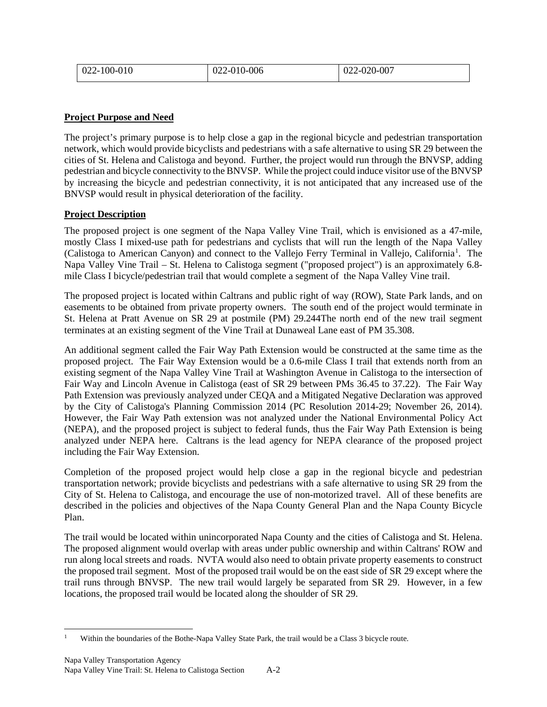| 022-100-010 | 2-010-006<br>022 | 2-020-007<br>$\Omega$<br>UZZ |
|-------------|------------------|------------------------------|
|             |                  |                              |

## **Project Purpose and Need**

The project's primary purpose is to help close a gap in the regional bicycle and pedestrian transportation network, which would provide bicyclists and pedestrians with a safe alternative to using SR 29 between the cities of St. Helena and Calistoga and beyond. Further, the project would run through the BNVSP, adding pedestrian and bicycle connectivity to the BNVSP. While the project could induce visitor use of the BNVSP by increasing the bicycle and pedestrian connectivity, it is not anticipated that any increased use of the BNVSP would result in physical deterioration of the facility.

## **Project Description**

The proposed project is one segment of the Napa Valley Vine Trail, which is envisioned as a 47-mile, mostly Class I mixed-use path for pedestrians and cyclists that will run the length of the Napa Valley (Calistoga to American Canyon) and connect to the Vallejo Ferry Terminal in Vallejo, California<sup>[1](#page-3-0)</sup>. The Napa Valley Vine Trail – St. Helena to Calistoga segment ("proposed project") is an approximately 6.8 mile Class I bicycle/pedestrian trail that would complete a segment of the Napa Valley Vine trail.

The proposed project is located within Caltrans and public right of way (ROW), State Park lands, and on easements to be obtained from private property owners. The south end of the project would terminate in St. Helena at Pratt Avenue on SR 29 at postmile (PM) 29.244The north end of the new trail segment terminates at an existing segment of the Vine Trail at Dunaweal Lane east of PM 35.308.

An additional segment called the Fair Way Path Extension would be constructed at the same time as the proposed project. The Fair Way Extension would be a 0.6-mile Class I trail that extends north from an existing segment of the Napa Valley Vine Trail at Washington Avenue in Calistoga to the intersection of Fair Way and Lincoln Avenue in Calistoga (east of SR 29 between PMs 36.45 to 37.22). The Fair Way Path Extension was previously analyzed under CEQA and a Mitigated Negative Declaration was approved by the City of Calistoga's Planning Commission 2014 (PC Resolution 2014-29; November 26, 2014). However, the Fair Way Path extension was not analyzed under the National Environmental Policy Act (NEPA), and the proposed project is subject to federal funds, thus the Fair Way Path Extension is being analyzed under NEPA here. Caltrans is the lead agency for NEPA clearance of the proposed project including the Fair Way Extension.

Completion of the proposed project would help close a gap in the regional bicycle and pedestrian transportation network; provide bicyclists and pedestrians with a safe alternative to using SR 29 from the City of St. Helena to Calistoga, and encourage the use of non-motorized travel. All of these benefits are described in the policies and objectives of the Napa County General Plan and the Napa County Bicycle Plan.

The trail would be located within unincorporated Napa County and the cities of Calistoga and St. Helena. The proposed alignment would overlap with areas under public ownership and within Caltrans' ROW and run along local streets and roads. NVTA would also need to obtain private property easements to construct the proposed trail segment. Most of the proposed trail would be on the east side of SR 29 except where the trail runs through BNVSP. The new trail would largely be separated from SR 29. However, in a few locations, the proposed trail would be located along the shoulder of SR 29.

<span id="page-3-0"></span>Within the boundaries of the Bothe-Napa Valley State Park, the trail would be a Class 3 bicycle route.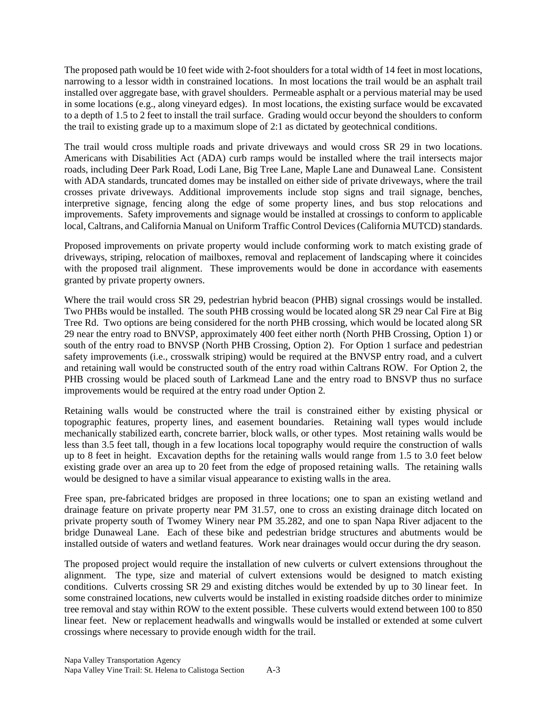The proposed path would be 10 feet wide with 2-foot shoulders for a total width of 14 feet in most locations, narrowing to a lessor width in constrained locations. In most locations the trail would be an asphalt trail installed over aggregate base, with gravel shoulders. Permeable asphalt or a pervious material may be used in some locations (e.g., along vineyard edges). In most locations, the existing surface would be excavated to a depth of 1.5 to 2 feet to install the trail surface. Grading would occur beyond the shoulders to conform the trail to existing grade up to a maximum slope of 2:1 as dictated by geotechnical conditions.

The trail would cross multiple roads and private driveways and would cross SR 29 in two locations. Americans with Disabilities Act (ADA) curb ramps would be installed where the trail intersects major roads, including Deer Park Road, Lodi Lane, Big Tree Lane, Maple Lane and Dunaweal Lane. Consistent with ADA standards, truncated domes may be installed on either side of private driveways, where the trail crosses private driveways. Additional improvements include stop signs and trail signage, benches, interpretive signage, fencing along the edge of some property lines, and bus stop relocations and improvements. Safety improvements and signage would be installed at crossings to conform to applicable local, Caltrans, and California Manual on Uniform Traffic Control Devices (California MUTCD) standards.

Proposed improvements on private property would include conforming work to match existing grade of driveways, striping, relocation of mailboxes, removal and replacement of landscaping where it coincides with the proposed trail alignment. These improvements would be done in accordance with easements granted by private property owners.

Where the trail would cross SR 29, pedestrian hybrid beacon (PHB) signal crossings would be installed. Two PHBs would be installed. The south PHB crossing would be located along SR 29 near Cal Fire at Big Tree Rd. Two options are being considered for the north PHB crossing, which would be located along SR 29 near the entry road to BNVSP, approximately 400 feet either north (North PHB Crossing, Option 1) or south of the entry road to BNVSP (North PHB Crossing, Option 2). For Option 1 surface and pedestrian safety improvements (i.e., crosswalk striping) would be required at the BNVSP entry road, and a culvert and retaining wall would be constructed south of the entry road within Caltrans ROW. For Option 2, the PHB crossing would be placed south of Larkmead Lane and the entry road to BNSVP thus no surface improvements would be required at the entry road under Option 2.

Retaining walls would be constructed where the trail is constrained either by existing physical or topographic features, property lines, and easement boundaries. Retaining wall types would include mechanically stabilized earth, concrete barrier, block walls, or other types. Most retaining walls would be less than 3.5 feet tall, though in a few locations local topography would require the construction of walls up to 8 feet in height. Excavation depths for the retaining walls would range from 1.5 to 3.0 feet below existing grade over an area up to 20 feet from the edge of proposed retaining walls. The retaining walls would be designed to have a similar visual appearance to existing walls in the area.

Free span, pre-fabricated bridges are proposed in three locations; one to span an existing wetland and drainage feature on private property near PM 31.57, one to cross an existing drainage ditch located on private property south of Twomey Winery near PM 35.282, and one to span Napa River adjacent to the bridge Dunaweal Lane. Each of these bike and pedestrian bridge structures and abutments would be installed outside of waters and wetland features. Work near drainages would occur during the dry season.

The proposed project would require the installation of new culverts or culvert extensions throughout the alignment. The type, size and material of culvert extensions would be designed to match existing conditions. Culverts crossing SR 29 and existing ditches would be extended by up to 30 linear feet. In some constrained locations, new culverts would be installed in existing roadside ditches order to minimize tree removal and stay within ROW to the extent possible. These culverts would extend between 100 to 850 linear feet. New or replacement headwalls and wingwalls would be installed or extended at some culvert crossings where necessary to provide enough width for the trail.